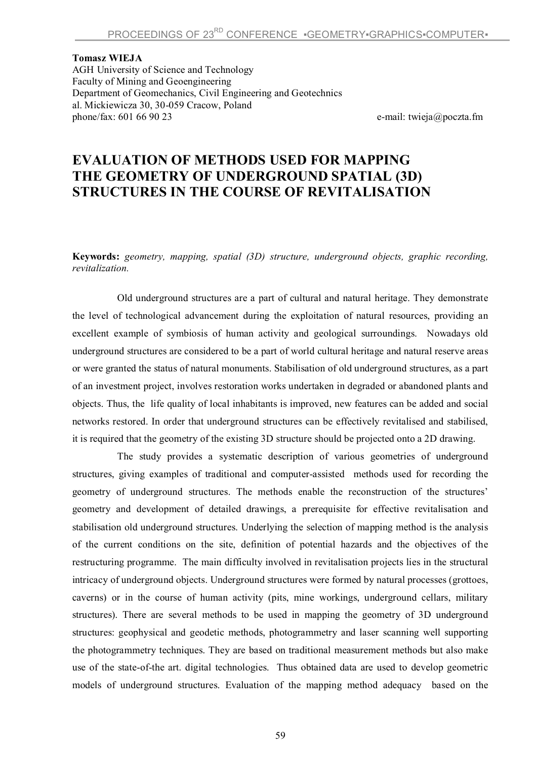**Tomasz WIEJA** AGH University of Science and Technology Faculty of Mining and Geoengineering Department of Geomechanics, Civil Engineering and Geotechnics al. Mickiewicza 30, 30-059 Cracow, Poland phone/fax: 601 66 90 23 e-mail: twieja@poczta.fm

## **EVALUATION OF METHODS USED FOR MAPPING THE GEOMETRY OF UNDERGROUND SPATIAL (3D) STRUCTURES IN THE COURSE OF REVITALISATION**

**Keywords:** *geometry, mapping, spatial (3D) structure, underground objects, graphic recording, revitalization.*

Old underground structures are a part of cultural and natural heritage. They demonstrate the level of technological advancement during the exploitation of natural resources, providing an excellent example of symbiosis of human activity and geological surroundings. Nowadays old underground structures are considered to be a part of world cultural heritage and natural reserve areas or were granted the status of natural monuments. Stabilisation of old underground structures, as a part of an investment project, involves restoration works undertaken in degraded or abandoned plants and objects. Thus, the life quality of local inhabitants is improved, new features can be added and social networks restored. In order that underground structures can be effectively revitalised and stabilised, it is required that the geometry of the existing 3D structure should be projected onto a 2D drawing.

The study provides a systematic description of various geometries of underground structures, giving examples of traditional and computer-assisted methods used for recording the geometry of underground structures. The methods enable the reconstruction of the structures' geometry and development of detailed drawings, a prerequisite for effective revitalisation and stabilisation old underground structures. Underlying the selection of mapping method is the analysis of the current conditions on the site, definition of potential hazards and the objectives of the restructuring programme. The main difficulty involved in revitalisation projects lies in the structural intricacy of underground objects. Underground structures were formed by natural processes (grottoes, caverns) or in the course of human activity (pits, mine workings, underground cellars, military structures). There are several methods to be used in mapping the geometry of 3D underground structures: geophysical and geodetic methods, photogrammetry and laser scanning well supporting the photogrammetry techniques. They are based on traditional measurement methods but also make use of the state-of-the art. digital technologies. Thus obtained data are used to develop geometric models of underground structures. Evaluation of the mapping method adequacy based on the